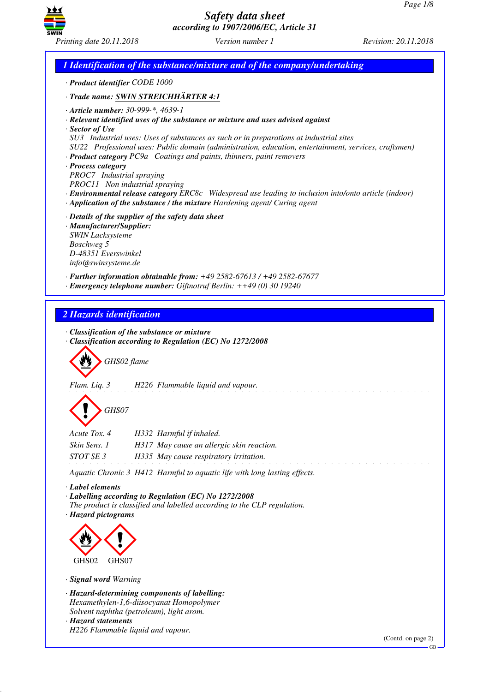

*1 Identification of the substance/mixture and of the company/undertaking · Product identifier CODE 1000 · Trade name: SWIN STREICHHÄRTER 4:1 · Article number: 30-999-\*, 4639-1 · Relevant identified uses of the substance or mixture and uses advised against · Sector of Use SU3 Industrial uses: Uses of substances as such or in preparations at industrial sites SU22 Professional uses: Public domain (administration, education, entertainment, services, craftsmen) · Product category PC9a Coatings and paints, thinners, paint removers · Process category PROC7 Industrial spraying PROC11 Non industrial spraying · Environmental release category ERC8c Widespread use leading to inclusion into/onto article (indoor) · Application of the substance / the mixture Hardening agent/ Curing agent · Details of the supplier of the safety data sheet · Manufacturer/Supplier: SWIN Lacksysteme Boschweg 5 D-48351 Everswinkel info@swinsysteme.de · Further information obtainable from: +49 2582-67613 / +49 2582-67677 · Emergency telephone number: Giftnotruf Berlin: ++49 (0) 30 19240 2 Hazards identification · Classification of the substance or mixture · Classification according to Regulation (EC) No 1272/2008* d~*GHS02 flame Flam. Liq. 3 H226 Flammable liquid and vapour.* d~*GHS07 Acute Tox. 4 H332 Harmful if inhaled. Skin Sens. 1 H317 May cause an allergic skin reaction. STOT SE 3 H335 May cause respiratory irritation. Aquatic Chronic 3 H412 Harmful to aquatic life with long lasting effects. · Label elements · Labelling according to Regulation (EC) No 1272/2008 The product is classified and labelled according to the CLP regulation. · Hazard pictograms* <  $\langle \cdot \rangle$ GHS<sub>02</sub> GHS07 *· Signal word Warning · Hazard-determining components of labelling: Hexamethylen-1,6-diisocyanat Homopolymer Solvent naphtha (petroleum), light arom. · Hazard statements H226 Flammable liquid and vapour.* (Contd. on page 2) GB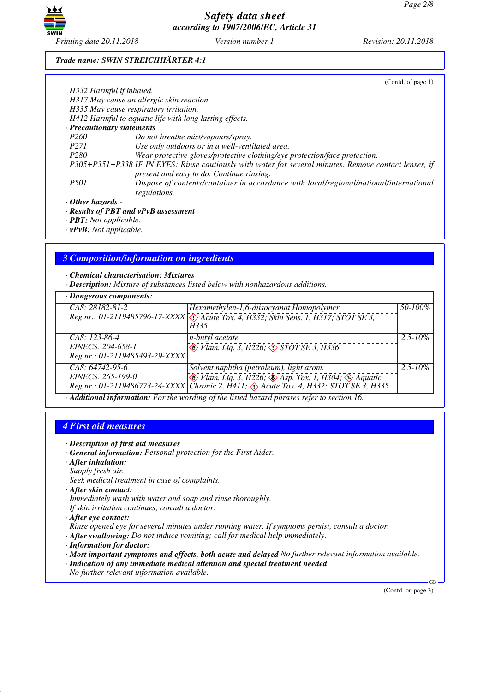

### *Trade name: SWIN STREICHHÄRTER 4:1*

|                                                                                                                       | (Contd. of page 1)                                                                                                                                 |  |
|-----------------------------------------------------------------------------------------------------------------------|----------------------------------------------------------------------------------------------------------------------------------------------------|--|
| H332 Harmful if inhaled.                                                                                              |                                                                                                                                                    |  |
|                                                                                                                       | H317 May cause an allergic skin reaction.                                                                                                          |  |
|                                                                                                                       | H335 May cause respiratory irritation.                                                                                                             |  |
|                                                                                                                       | H412 Harmful to aquatic life with long lasting effects.                                                                                            |  |
| · Precautionary statements                                                                                            |                                                                                                                                                    |  |
| <i>P260</i>                                                                                                           | Do not breathe mist/vapours/spray.                                                                                                                 |  |
| <i>P271</i>                                                                                                           | Use only outdoors or in a well-ventilated area.                                                                                                    |  |
| P <sub>280</sub>                                                                                                      | Wear protective gloves/protective clothing/eye protection/face protection.                                                                         |  |
|                                                                                                                       | P305+P351+P338 IF IN EYES: Rinse cautiously with water for several minutes. Remove contact lenses, if<br>present and easy to do. Continue rinsing. |  |
| <i>P501</i><br>Dispose of contents/container in accordance with local/regional/national/international<br>regulations. |                                                                                                                                                    |  |
| $\cdot$ Other hazards -                                                                                               |                                                                                                                                                    |  |
|                                                                                                                       | $\cdot$ Results of PBT and $vPvB$ assessment                                                                                                       |  |
| $\cdot$ <b>PBT</b> : Not applicable.                                                                                  |                                                                                                                                                    |  |
|                                                                                                                       |                                                                                                                                                    |  |

*· vPvB: Not applicable.*

# *3 Composition/information on ingredients*

### *· Chemical characterisation: Mixtures*

*· Description: Mixture of substances listed below with nonhazardous additions.*

| · Dangerous components:                                                                   |                                                                                                  |              |  |
|-------------------------------------------------------------------------------------------|--------------------------------------------------------------------------------------------------|--------------|--|
| CAS: 28182-81-2                                                                           | Hexamethylen-1,6-diisocyanat Homopolymer                                                         | 50-100%      |  |
|                                                                                           | Reg.nr.: 01-2119485796-17-XXXX \times Acute Tox. 4, H332; Skin Sens. 1, H317; STOT SE 3,<br>H335 |              |  |
| $CAS: 123-86-4$                                                                           | n-butyl acetate                                                                                  | $2.5 - 10\%$ |  |
| EINECS: 204-658-1                                                                         | $\circledcirc$ Flam. Liq. 3, H226, $\circledcirc$ STOT SE 3, H336                                |              |  |
| Reg.nr.: 01-2119485493-29-XXXX                                                            |                                                                                                  |              |  |
| $CAS: 64742-95-6$                                                                         | Solvent naphtha (petroleum), light arom.                                                         | $2.5 - 10\%$ |  |
| EINECS: 265-199-0                                                                         | $\otimes$ Flam. Liq. 3, H226; $\otimes$ Asp. Tox. 1, H304; $\otimes$ Aquatic                     |              |  |
|                                                                                           | Reg.nr.: 01-2119486773-24-XXXX   Čhronic 2, H411; $\Diamond$ Acute Tox. 4, H332; STOT SE 3, H335 |              |  |
| Additional information, For the wording of the listed here of phrases refer to section 16 |                                                                                                  |              |  |

*· Additional information: For the wording of the listed hazard phrases refer to section 16.*

# *4 First aid measures*

- *· Description of first aid measures*
- *· General information: Personal protection for the First Aider.*
- *· After inhalation:*
- *Supply fresh air. Seek medical treatment in case of complaints.*
- *· After skin contact:*
- *Immediately wash with water and soap and rinse thoroughly.*
- *If skin irritation continues, consult a doctor.*
- *· After eye contact:*
- *Rinse opened eye for several minutes under running water. If symptoms persist, consult a doctor.*
- *· After swallowing: Do not induce vomiting; call for medical help immediately.*
- *· Information for doctor:*
- *· Most important symptoms and effects, both acute and delayed No further relevant information available.*
- *· Indication of any immediate medical attention and special treatment needed*
- *No further relevant information available.*

(Contd. on page 3)

GB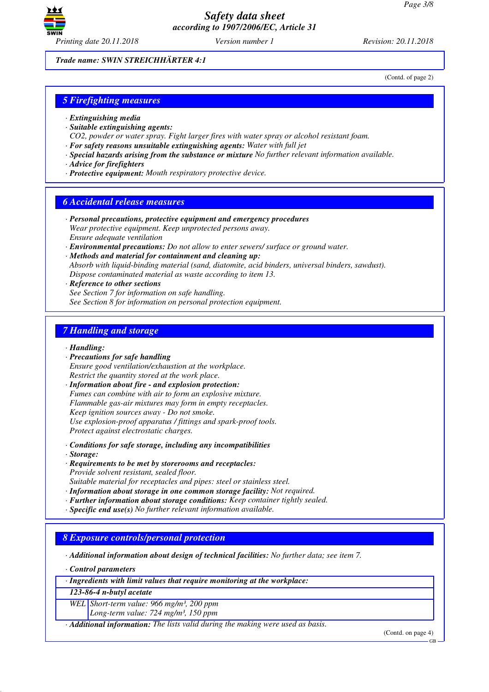

(Contd. of page 2)

*Trade name: SWIN STREICHHÄRTER 4:1*

*5 Firefighting measures*

- *· Extinguishing media*
- *· Suitable extinguishing agents:*
- *CO2, powder or water spray. Fight larger fires with water spray or alcohol resistant foam.*
- *· For safety reasons unsuitable extinguishing agents: Water with full jet*
- *· Special hazards arising from the substance or mixture No further relevant information available.*
- *· Advice for firefighters*
- *· Protective equipment: Mouth respiratory protective device.*

## *6 Accidental release measures*

- *· Personal precautions, protective equipment and emergency procedures Wear protective equipment. Keep unprotected persons away. Ensure adequate ventilation*
- *· Environmental precautions: Do not allow to enter sewers/ surface or ground water.*

*· Methods and material for containment and cleaning up: Absorb with liquid-binding material (sand, diatomite, acid binders, universal binders, sawdust). Dispose contaminated material as waste according to item 13.*

*· Reference to other sections*

*See Section 7 for information on safe handling. See Section 8 for information on personal protection equipment.*

## *7 Handling and storage*

- *· Handling:*
- *· Precautions for safe handling Ensure good ventilation/exhaustion at the workplace. Restrict the quantity stored at the work place.*

*· Information about fire - and explosion protection: Fumes can combine with air to form an explosive mixture. Flammable gas-air mixtures may form in empty receptacles. Keep ignition sources away - Do not smoke. Use explosion-proof apparatus / fittings and spark-proof tools. Protect against electrostatic charges.*

- *· Conditions for safe storage, including any incompatibilities*
- *· Storage:*
- *· Requirements to be met by storerooms and receptacles: Provide solvent resistant, sealed floor.*

*Suitable material for receptacles and pipes: steel or stainless steel.*

- *· Information about storage in one common storage facility: Not required.*
- *· Further information about storage conditions: Keep container tightly sealed.*
- *· Specific end use(s) No further relevant information available.*

## *8 Exposure controls/personal protection*

*· Additional information about design of technical facilities: No further data; see item 7.*

*· Control parameters*

*· Ingredients with limit values that require monitoring at the workplace:*

*123-86-4 n-butyl acetate*

*WEL Short-term value: 966 mg/m³, 200 ppm*

*Long-term value: 724 mg/m³, 150 ppm*

*· Additional information: The lists valid during the making were used as basis.*

(Contd. on page 4)

GB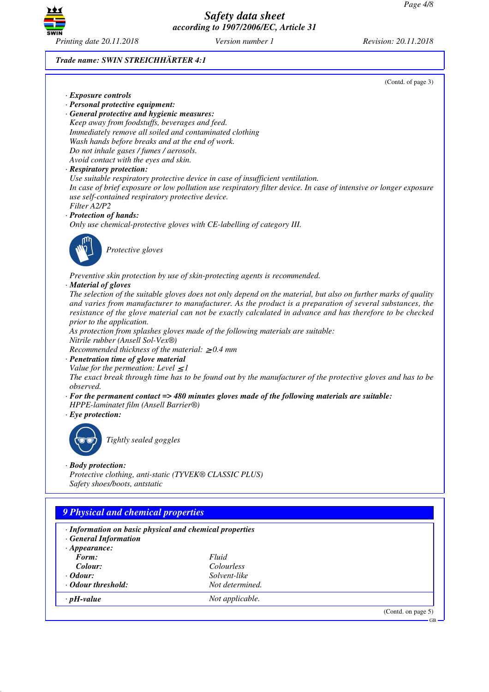

*Trade name: SWIN STREICHHÄRTER 4:1*

(Contd. of page 3)

- *· Exposure controls*
- *· Personal protective equipment:*

*· General protective and hygienic measures: Keep away from foodstuffs, beverages and feed. Immediately remove all soiled and contaminated clothing Wash hands before breaks and at the end of work. Do not inhale gases / fumes / aerosols. Avoid contact with the eyes and skin.*

### *· Respiratory protection:*

*Use suitable respiratory protective device in case of insufficient ventilation. In case of brief exposure or low pollution use respiratory filter device. In case of intensive or longer exposure use self-contained respiratory protective device. Filter A2/P2*

### *· Protection of hands:*

*Only use chemical-protective gloves with CE-labelling of category III.*



\_S*Protective gloves*

*Preventive skin protection by use of skin-protecting agents is recommended.*

#### *· Material of gloves*

*The selection of the suitable gloves does not only depend on the material, but also on further marks of quality and varies from manufacturer to manufacturer. As the product is a preparation of several substances, the resistance of the glove material can not be exactly calculated in advance and has therefore to be checked prior to the application.*

*As protection from splashes gloves made of the following materials are suitable: Nitrile rubber (Ansell Sol-Vex®)*

*Recommended thickness of the material:* ≥ *0.4 mm*

*· Penetration time of glove material*

*Value for the permeation: Level*  $\leq$  *1* 

*The exact break through time has to be found out by the manufacturer of the protective gloves and has to be observed.*

- *· For the permanent contact => 480 minutes gloves made of the following materials are suitable:*
- *HPPE-laminatet film (Ansell Barrier®)*
- *· Eye protection:*



\_R*Tightly sealed goggles*

### *· Body protection:*

*Protective clothing, anti-static (TYVEK® CLASSIC PLUS) Safety shoes/boots, antstatic*

# *9 Physical and chemical properties*

| · Information on basic physical and chemical properties<br><b>· General Information</b> |                   |                    |
|-----------------------------------------------------------------------------------------|-------------------|--------------------|
| $\cdot$ Appearance:                                                                     |                   |                    |
| Form:                                                                                   | Fluid             |                    |
| Colour:                                                                                 | <i>Colourless</i> |                    |
| $\cdot$ Odour:                                                                          | Solvent-like      |                    |
| · Odour threshold:                                                                      | Not determined.   |                    |
| $\cdot$ pH-value                                                                        | Not applicable.   |                    |
|                                                                                         |                   | (Contd. on page 5) |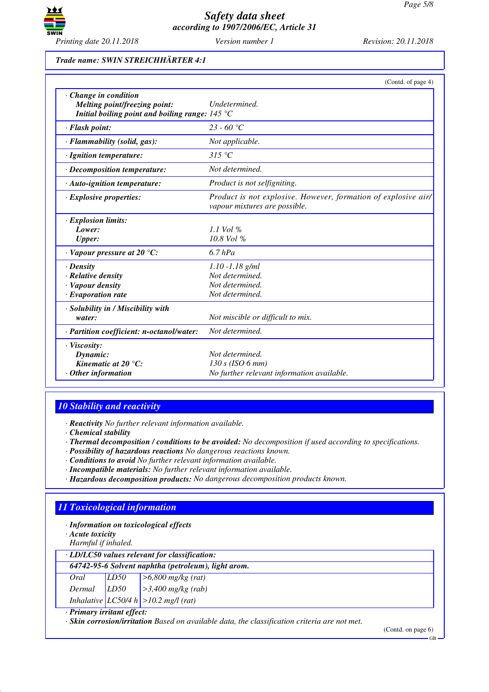

### *Trade name: SWIN STREICHHÄRTER 4:1*

|                                                                                                                    | (Contd. of page 4)                                                                              |
|--------------------------------------------------------------------------------------------------------------------|-------------------------------------------------------------------------------------------------|
| · Change in condition<br>Melting point/freezing point:<br>Initial boiling point and boiling range: $145^{\circ}$ C | <b>Undetermined</b>                                                                             |
| · Flash point:                                                                                                     | 23 - 60 °C                                                                                      |
| $\cdot$ Flammability (solid, gas):                                                                                 | Not applicable.                                                                                 |
| · Ignition temperature:                                                                                            | $315\text{ °C}$                                                                                 |
| · Decomposition temperature:                                                                                       | Not determined.                                                                                 |
| $\cdot$ Auto-ignition temperature:                                                                                 | <i>Product is not selfigniting.</i>                                                             |
| $\cdot$ Explosive properties:                                                                                      | Product is not explosive. However, formation of explosive air/<br>vapour mixtures are possible. |
| <b>Explosion limits:</b>                                                                                           |                                                                                                 |
| Lower:                                                                                                             | $1.1$ Vol %                                                                                     |
| <b>Upper:</b>                                                                                                      | $10.8$ Vol %                                                                                    |
| $\cdot$ Vapour pressure at 20 °C:                                                                                  | $6.7$ $hPa$                                                                                     |
| $\cdot$ Density                                                                                                    | $1.10 - 1.18$ g/ml                                                                              |
| · Relative density                                                                                                 | Not determined.                                                                                 |
| · Vapour density                                                                                                   | Not determined.                                                                                 |
| · Evaporation rate                                                                                                 | Not determined.                                                                                 |
| · Solubility in / Miscibility with<br>water:                                                                       | Not miscible or difficult to mix.                                                               |
| · Partition coefficient: n-octanol/water:                                                                          | Not determined.                                                                                 |
| $\cdot$ Viscosity:<br>Dynamic:<br>Kinematic at 20 $^{\circ}$ C:<br>$\cdot$ Other information                       | Not determined.<br>130 s (ISO 6 mm)<br>No further relevant information available.               |

# *10 Stability and reactivity*

*· Reactivity No further relevant information available.*

*· Chemical stability*

- *· Thermal decomposition / conditions to be avoided: No decomposition if used according to specifications.*
- *· Possibility of hazardous reactions No dangerous reactions known.*
- *· Conditions to avoid No further relevant information available.*
- *· Incompatible materials: No further relevant information available.*
- *· Hazardous decomposition products: No dangerous decomposition products known.*

# *11 Toxicological information*

*· Information on toxicological effects*

*· Acute toxicity*

*Harmful if inhaled.*

## *· LD/LC50 values relevant for classification:*

| 64742-95-6 Solvent naphtha (petroleum), light arom. |  |                                                                                                                                                                                      |  |
|-----------------------------------------------------|--|--------------------------------------------------------------------------------------------------------------------------------------------------------------------------------------|--|
|                                                     |  |                                                                                                                                                                                      |  |
|                                                     |  | Oral $\begin{array}{ l l }\n\hline\nOral & LD50 & >6,800 mg/kg (rat) \\ \hline\nDermal & LD50 & >3,400 mg/kg (rab) \\ Inhalative & LC50/4 h >10.2 mg/l (rat) \\ \hline\n\end{array}$ |  |
|                                                     |  |                                                                                                                                                                                      |  |

#### *· Primary irritant effect:*

*· Skin corrosion/irritation Based on available data, the classification criteria are not met.*

(Contd. on page 6)

GB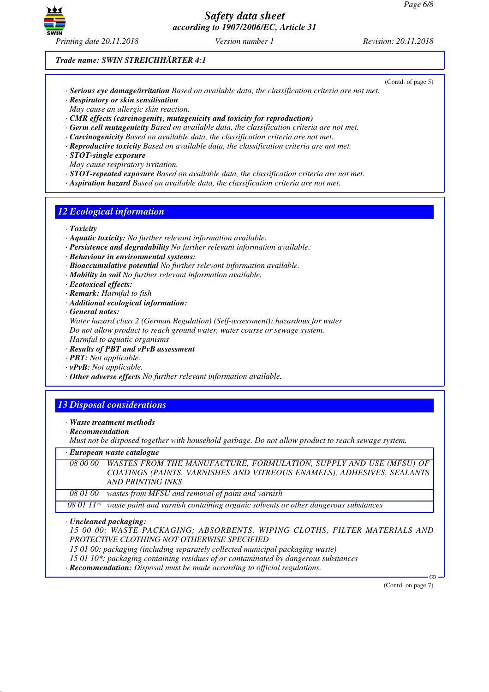

(Contd. of page 5)

*Trade name: SWIN STREICHHÄRTER 4:1*

- *· Serious eye damage/irritation Based on available data, the classification criteria are not met.*
- *· Respiratory or skin sensitisation*
- *May cause an allergic skin reaction.*
- *· CMR effects (carcinogenity, mutagenicity and toxicity for reproduction)*
- *· Germ cell mutagenicity Based on available data, the classification criteria are not met.*
- *· Carcinogenicity Based on available data, the classification criteria are not met.*
- *· Reproductive toxicity Based on available data, the classification criteria are not met.*
- *· STOT-single exposure*

*May cause respiratory irritation.*

- *· STOT-repeated exposure Based on available data, the classification criteria are not met.*
- *· Aspiration hazard Based on available data, the classification criteria are not met.*

## *12 Ecological information*

- *· Toxicity*
- *· Aquatic toxicity: No further relevant information available.*
- *· Persistence and degradability No further relevant information available.*
- *· Behaviour in environmental systems:*
- *· Bioaccumulative potential No further relevant information available.*
- *· Mobility in soil No further relevant information available.*
- *· Ecotoxical effects:*
- *· Remark: Harmful to fish*
- *· Additional ecological information:*
- *· General notes:*

*Water hazard class 2 (German Regulation) (Self-assessment): hazardous for water Do not allow product to reach ground water, water course or sewage system. Harmful to aquatic organisms*

- *· Results of PBT and vPvB assessment*
- *· PBT: Not applicable.*
- *· vPvB: Not applicable.*
- *· Other adverse effects No further relevant information available.*

# *13 Disposal considerations*

- *· Waste treatment methods*
- *· Recommendation*

*Must not be disposed together with household garbage. Do not allow product to reach sewage system.*

*· European waste catalogue*

| 08 00 00   WASTES FROM THE MANUFACTURE, FORMULATION, SUPPLY AND USE (MFSU) OF               |
|---------------------------------------------------------------------------------------------|
| COATINGS (PAINTS, VARNISHES AND VITREOUS ENAMELS), ADHESIVES, SEALANTS                      |
| <b>AND PRINTING INKS</b>                                                                    |
| 08 01 00   wastes from MFSU and removal of paint and varnish                                |
| 08 01 11* waste paint and varnish containing organic solvents or other dangerous substances |

*· Uncleaned packaging:*

*15 00 00: WASTE PACKAGING; ABSORBENTS, WIPING CLOTHS, FILTER MATERIALS AND PROTECTIVE CLOTHING NOT OTHERWISE SPECIFIED*

*15 01 00: packaging (including separately collected municipal packaging waste)*

*15 01 10\*: packaging containing residues of or contaminated by dangerous substances*

*· Recommendation: Disposal must be made according to official regulations.*

(Contd. on page 7)

GB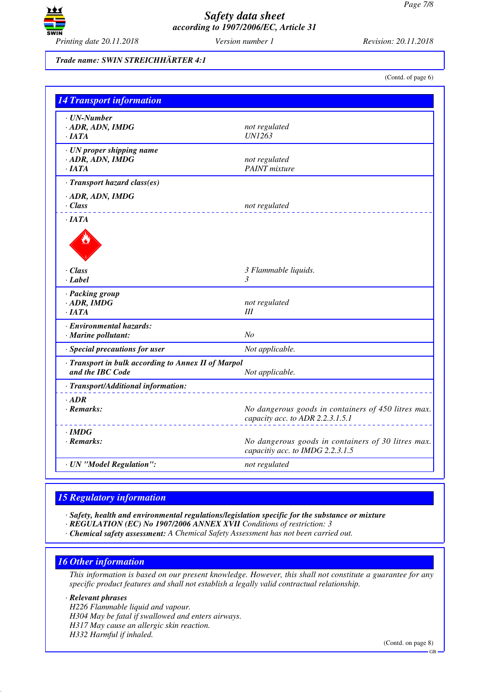

## *Trade name: SWIN STREICHHÄRTER 4:1*

(Contd. of page 6)

| <b>14 Transport information</b>                                         |                                                                                         |
|-------------------------------------------------------------------------|-----------------------------------------------------------------------------------------|
| $\cdot$ UN-Number<br>$\cdot$ ADR, ADN, IMDG<br>·IATA                    | not regulated<br><b>UN1263</b>                                                          |
| · UN proper shipping name<br>$-$ ADR, ADN, IMDG<br>·IATA                | not regulated<br><b>PAINT</b> mixture                                                   |
| · Transport hazard class(es)                                            |                                                                                         |
| $\cdot$ ADR, ADN, IMDG<br>· Class                                       | not regulated                                                                           |
| $\cdot$ JATA                                                            |                                                                                         |
| $\cdot$ Class<br>· Label                                                | 3 Flammable liquids.<br>$\mathfrak{Z}$                                                  |
| · Packing group<br>$·$ ADR, IMDG<br>$\cdot$ IATA                        | not regulated<br>Ш                                                                      |
| · Environmental hazards:<br>· Marine pollutant:                         | N <sub>o</sub>                                                                          |
| · Special precautions for user                                          | Not applicable.                                                                         |
| · Transport in bulk according to Annex II of Marpol<br>and the IBC Code | Not applicable.                                                                         |
| · Transport/Additional information:                                     |                                                                                         |
| $\cdot$ ADR<br>$\cdot$ Remarks:                                         | No dangerous goods in containers of 450 litres max.<br>capacity acc. to ADR 2.2.3.1.5.1 |
| $\cdot$ IMDG<br>$\cdot$ Remarks:                                        | No dangerous goods in containers of 30 litres max.<br>capacitiy acc. to IMDG 2.2.3.1.5  |
| · UN "Model Regulation":                                                | not regulated                                                                           |

# *15 Regulatory information*

*· Safety, health and environmental regulations/legislation specific for the substance or mixture*

- *· REGULATION (EC) No 1907/2006 ANNEX XVII Conditions of restriction: 3*
- *· Chemical safety assessment: A Chemical Safety Assessment has not been carried out.*

# *16 Other information*

*This information is based on our present knowledge. However, this shall not constitute a guarantee for any specific product features and shall not establish a legally valid contractual relationship.*

### *· Relevant phrases*

*H226 Flammable liquid and vapour. H304 May be fatal if swallowed and enters airways. H317 May cause an allergic skin reaction. H332 Harmful if inhaled.*

(Contd. on page 8)

GB